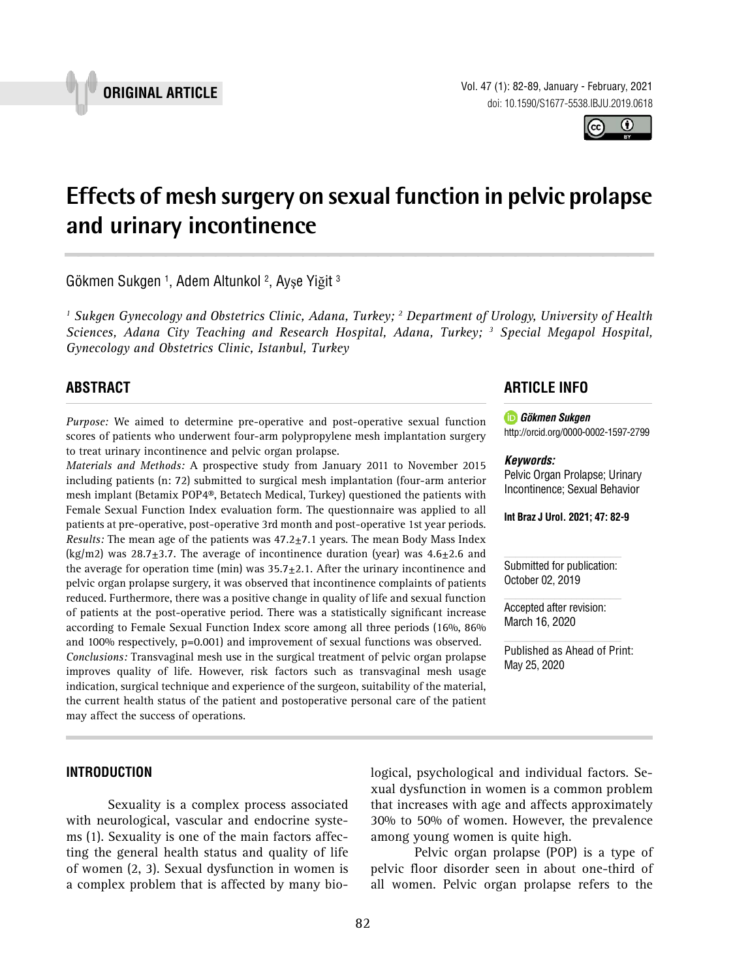

Vol. 47 (1): 82-89, January - February, 2021 doi: 10.1590/S1677-5538.IBJU.2019.0618

# **Effects of mesh surgery on sexual function in pelvic prolapse and urinary incontinence \_\_\_\_\_\_\_\_\_\_\_\_\_\_\_\_\_\_\_\_\_\_\_\_\_\_\_\_\_\_\_\_\_\_\_\_\_\_\_\_\_\_\_\_\_\_\_**

Gökmen Sukgen <sup>1</sup>, Adem Altunkol <sup>2</sup>, Ayşe Yiğit <sup>3</sup>

<sup>1</sup> Sukgen Gynecology and Obstetrics Clinic, Adana, Turkey; <sup>2</sup> Department of Urology, University of Health *Sciences, Adana City Teaching and Research Hospital, Adana, Turkey; 3 Special Megapol Hospital, Gynecology and Obstetrics Clinic, Istanbul, Turkey*

# **ABSTRACT**

*Purpose:* We aimed to determine pre-operative and post-operative sexual function scores of patients who underwent four-arm polypropylene mesh implantation surgery to treat urinary incontinence and pelvic organ prolapse.

*Materials and Methods:* A prospective study from January 2011 to November 2015 including patients (n: 72) submitted to surgical mesh implantation (four-arm anterior mesh implant (Betamix POP4®, Betatech Medical, Turkey) questioned the patients with Female Sexual Function Index evaluation form. The questionnaire was applied to all patients at pre-operative, post-operative 3rd month and post-operative 1st year periods. *Results:* The mean age of the patients was 47.2±7.1 years. The mean Body Mass Index (kg/m2) was  $28.7 \pm 3.7$ . The average of incontinence duration (year) was  $4.6 \pm 2.6$  and the average for operation time (min) was  $35.7 \pm 2.1$ . After the urinary incontinence and pelvic organ prolapse surgery, it was observed that incontinence complaints of patients reduced. Furthermore, there was a positive change in quality of life and sexual function of patients at the post-operative period. There was a statistically significant increase according to Female Sexual Function Index score among all three periods (16%, 86% and 100% respectively, p=0.001) and improvement of sexual functions was observed. *Conclusions:* Transvaginal mesh use in the surgical treatment of pelvic organ prolapse improves quality of life. However, risk factors such as transvaginal mesh usage indication, surgical technique and experience of the surgeon, suitability of the material, the current health status of the patient and postoperative personal care of the patient may affect the success of operations.

# **ARTICLE INFO**

*Gökmen Sukgen* http://orcid.org/[0000-0002-1597-2799](https://orcid.org/0000-0002-1597-2799)

#### *Keywords:*

Pelvic Organ Prolapse; Urinary Incontinence; Sexual Behavior

**Int Braz J Urol. 2021; 47: 82-9**

Submitted for publication: October 02, 2019

Accepted after revision: March 16, 2020

Published as Ahead of Print: May 25, 2020

**INTRODUCTION**

Sexuality is a complex process associated with neurological, vascular and endocrine systems (1). Sexuality is one of the main factors affecting the general health status and quality of life of women (2, 3). Sexual dysfunction in women is a complex problem that is affected by many biological, psychological and individual factors. Sexual dysfunction in women is a common problem that increases with age and affects approximately 30% to 50% of women. However, the prevalence among young women is quite high.

Pelvic organ prolapse (POP) is a type of pelvic floor disorder seen in about one-third of all women. Pelvic organ prolapse refers to the



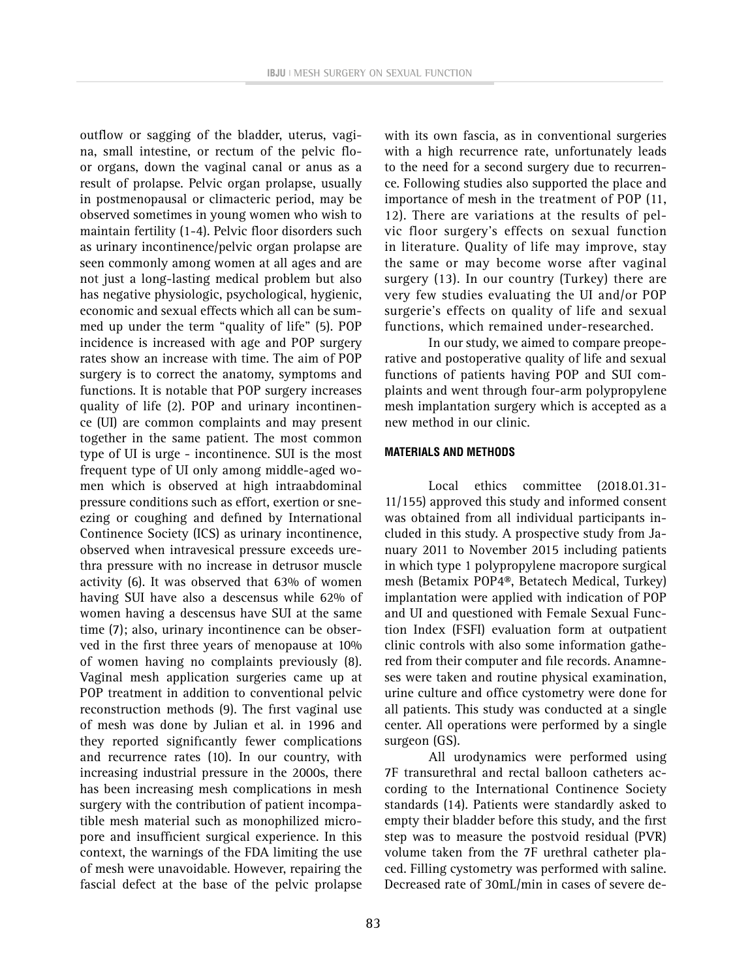outflow or sagging of the bladder, uterus, vagina, small intestine, or rectum of the pelvic floor organs, down the vaginal canal or anus as a result of prolapse. Pelvic organ prolapse, usually in postmenopausal or climacteric period, may be observed sometimes in young women who wish to maintain fertility (1-4). Pelvic floor disorders such as urinary incontinence/pelvic organ prolapse are seen commonly among women at all ages and are not just a long-lasting medical problem but also has negative physiologic, psychological, hygienic, economic and sexual effects which all can be summed up under the term "quality of life" (5). POP incidence is increased with age and POP surgery rates show an increase with time. The aim of POP surgery is to correct the anatomy, symptoms and functions. It is notable that POP surgery increases quality of life (2). POP and urinary incontinence (UI) are common complaints and may present together in the same patient. The most common type of UI is urge - incontinence. SUI is the most frequent type of UI only among middle-aged women which is observed at high intraabdominal pressure conditions such as effort, exertion or sneezing or coughing and defined by International Continence Society (ICS) as urinary incontinence, observed when intravesical pressure exceeds urethra pressure with no increase in detrusor muscle activity (6). It was observed that 63% of women having SUI have also a descensus while 62% of women having a descensus have SUI at the same time (7); also, urinary incontinence can be observed in the first three years of menopause at 10% of women having no complaints previously (8). Vaginal mesh application surgeries came up at POP treatment in addition to conventional pelvic reconstruction methods (9). The first vaginal use of mesh was done by Julian et al. in 1996 and they reported significantly fewer complications and recurrence rates (10). In our country, with increasing industrial pressure in the 2000s, there has been increasing mesh complications in mesh surgery with the contribution of patient incompatible mesh material such as monophilized micropore and insufficient surgical experience. In this context, the warnings of the FDA limiting the use of mesh were unavoidable. However, repairing the fascial defect at the base of the pelvic prolapse

with its own fascia, as in conventional surgeries with a high recurrence rate, unfortunately leads to the need for a second surgery due to recurrence. Following studies also supported the place and importance of mesh in the treatment of POP (11, 12). There are variations at the results of pelvic floor surgery's effects on sexual function in literature. Quality of life may improve, stay the same or may become worse after vaginal surgery (13). In our country (Turkey) there are very few studies evaluating the UI and/or POP surgerie's effects on quality of life and sexual functions, which remained under-researched.

In our study, we aimed to compare preoperative and postoperative quality of life and sexual functions of patients having POP and SUI complaints and went through four-arm polypropylene mesh implantation surgery which is accepted as a new method in our clinic.

#### **MATERIALS AND METHODS**

Local ethics committee (2018.01.31- 11/155) approved this study and informed consent was obtained from all individual participants included in this study. A prospective study from January 2011 to November 2015 including patients in which type 1 polypropylene macropore surgical mesh (Betamix POP4®, Betatech Medical, Turkey) implantation were applied with indication of POP and UI and questioned with Female Sexual Function Index (FSFI) evaluation form at outpatient clinic controls with also some information gathered from their computer and file records. Anamneses were taken and routine physical examination, urine culture and office cystometry were done for all patients. This study was conducted at a single center. All operations were performed by a single surgeon (GS).

All urodynamics were performed using 7F transurethral and rectal balloon catheters according to the International Continence Society standards (14). Patients were standardly asked to empty their bladder before this study, and the first step was to measure the postvoid residual (PVR) volume taken from the 7F urethral catheter placed. Filling cystometry was performed with saline. Decreased rate of 30mL/min in cases of severe de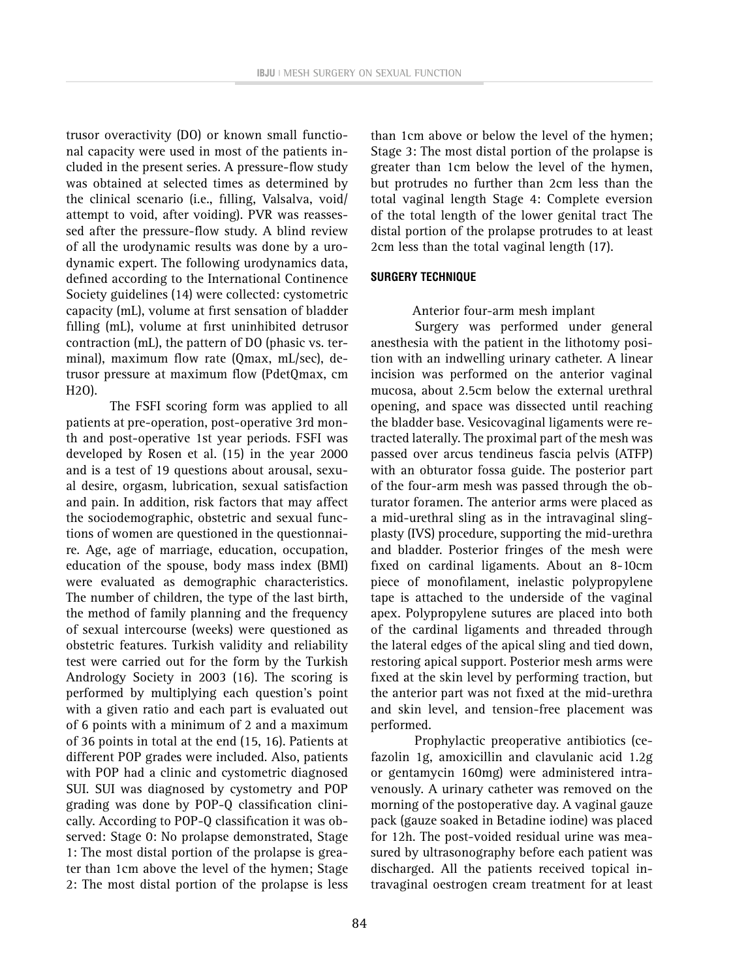trusor overactivity (DO) or known small functional capacity were used in most of the patients included in the present series. A pressure-flow study was obtained at selected times as determined by the clinical scenario (i.e., filling, Valsalva, void/ attempt to void, after voiding). PVR was reassessed after the pressure-flow study. A blind review of all the urodynamic results was done by a urodynamic expert. The following urodynamics data, defined according to the International Continence Society guidelines (14) were collected: cystometric capacity (mL), volume at first sensation of bladder filling (mL), volume at first uninhibited detrusor contraction (mL), the pattern of DO (phasic vs. terminal), maximum flow rate (Qmax, mL/sec), detrusor pressure at maximum flow (PdetQmax, cm H2O).

The FSFI scoring form was applied to all patients at pre-operation, post-operative 3rd month and post-operative 1st year periods. FSFI was developed by Rosen et al. (15) in the year 2000 and is a test of 19 questions about arousal, sexual desire, orgasm, lubrication, sexual satisfaction and pain. In addition, risk factors that may affect the sociodemographic, obstetric and sexual functions of women are questioned in the questionnaire. Age, age of marriage, education, occupation, education of the spouse, body mass index (BMI) were evaluated as demographic characteristics. The number of children, the type of the last birth, the method of family planning and the frequency of sexual intercourse (weeks) were questioned as obstetric features. Turkish validity and reliability test were carried out for the form by the Turkish Andrology Society in 2003 (16). The scoring is performed by multiplying each question's point with a given ratio and each part is evaluated out of 6 points with a minimum of 2 and a maximum of 36 points in total at the end (15, 16). Patients at different POP grades were included. Also, patients with POP had a clinic and cystometric diagnosed SUI. SUI was diagnosed by cystometry and POP grading was done by POP-Q classification clinically. According to POP-Q classification it was observed: Stage 0: No prolapse demonstrated, Stage 1: The most distal portion of the prolapse is greater than 1cm above the level of the hymen; Stage 2: The most distal portion of the prolapse is less

than 1cm above or below the level of the hymen; Stage 3: The most distal portion of the prolapse is greater than 1cm below the level of the hymen, but protrudes no further than 2cm less than the total vaginal length Stage 4: Complete eversion of the total length of the lower genital tract The distal portion of the prolapse protrudes to at least 2cm less than the total vaginal length (17).

# **SURGERY TECHNIQUE**

# Anterior four-arm mesh implant

Surgery was performed under general anesthesia with the patient in the lithotomy position with an indwelling urinary catheter. A linear incision was performed on the anterior vaginal mucosa, about 2.5cm below the external urethral opening, and space was dissected until reaching the bladder base. Vesicovaginal ligaments were retracted laterally. The proximal part of the mesh was passed over arcus tendineus fascia pelvis (ATFP) with an obturator fossa guide. The posterior part of the four-arm mesh was passed through the obturator foramen. The anterior arms were placed as a mid-urethral sling as in the intravaginal slingplasty (IVS) procedure, supporting the mid-urethra and bladder. Posterior fringes of the mesh were fixed on cardinal ligaments. About an 8-10cm piece of monofilament, inelastic polypropylene tape is attached to the underside of the vaginal apex. Polypropylene sutures are placed into both of the cardinal ligaments and threaded through the lateral edges of the apical sling and tied down, restoring apical support. Posterior mesh arms were fixed at the skin level by performing traction, but the anterior part was not fixed at the mid-urethra and skin level, and tension-free placement was performed.

Prophylactic preoperative antibiotics (cefazolin 1g, amoxicillin and clavulanic acid 1.2g or gentamycin 160mg) were administered intravenously. A urinary catheter was removed on the morning of the postoperative day. A vaginal gauze pack (gauze soaked in Betadine iodine) was placed for 12h. The post-voided residual urine was measured by ultrasonography before each patient was discharged. All the patients received topical intravaginal oestrogen cream treatment for at least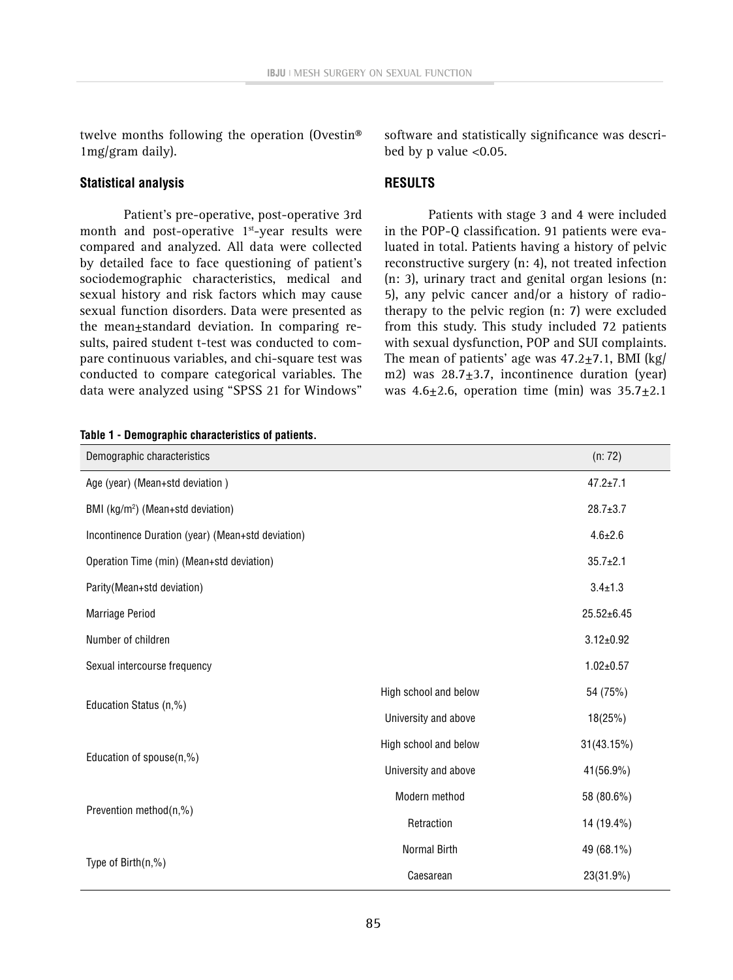twelve months following the operation (Ovestin® 1mg/gram daily).

#### **Statistical analysis**

Patient's pre-operative, post-operative 3rd month and post-operative  $1<sup>st</sup>$ -year results were compared and analyzed. All data were collected by detailed face to face questioning of patient's sociodemographic characteristics, medical and sexual history and risk factors which may cause sexual function disorders. Data were presented as the mean±standard deviation. In comparing results, paired student t-test was conducted to compare continuous variables, and chi-square test was conducted to compare categorical variables. The data were analyzed using "SPSS 21 for Windows" software and statistically significance was described by p value <0.05.

#### **RESULTS**

Patients with stage 3 and 4 were included in the POP-Q classification. 91 patients were evaluated in total. Patients having a history of pelvic reconstructive surgery (n: 4), not treated infection (n: 3), urinary tract and genital organ lesions (n: 5), any pelvic cancer and/or a history of radiotherapy to the pelvic region (n: 7) were excluded from this study. This study included 72 patients with sexual dysfunction, POP and SUI complaints. The mean of patients' age was  $47.2 \pm 7.1$ , BMI (kg/ m2) was  $28.7 \pm 3.7$ , incontinence duration (year) was  $4.6+2.6$ , operation time (min) was  $35.7+2.1$ 

| Demographic characteristics                       |                       | (n: 72)          |
|---------------------------------------------------|-----------------------|------------------|
| Age (year) (Mean+std deviation)                   |                       | $47.2 \pm 7.1$   |
| BMI (kg/m <sup>2</sup> ) (Mean+std deviation)     |                       | $28.7 \pm 3.7$   |
| Incontinence Duration (year) (Mean+std deviation) |                       | $4.6 \pm 2.6$    |
| Operation Time (min) (Mean+std deviation)         |                       | $35.7 \pm 2.1$   |
| Parity(Mean+std deviation)                        |                       | $3.4 \pm 1.3$    |
| Marriage Period                                   |                       | $25.52 \pm 6.45$ |
| Number of children                                |                       | $3.12 \pm 0.92$  |
| Sexual intercourse frequency                      |                       | $1.02 \pm 0.57$  |
|                                                   | High school and below | 54 (75%)         |
| Education Status (n,%)                            | University and above  | 18(25%)          |
|                                                   | High school and below | 31(43.15%)       |
| Education of spouse(n,%)                          | University and above  | 41(56.9%)        |
| Prevention method(n,%)                            | Modern method         | 58 (80.6%)       |
|                                                   | Retraction            | 14 (19.4%)       |
| Type of $Birth(n, %)$                             | Normal Birth          | 49 (68.1%)       |
|                                                   | Caesarean             | 23(31.9%)        |

**Table 1 - Demographic characteristics of patients.**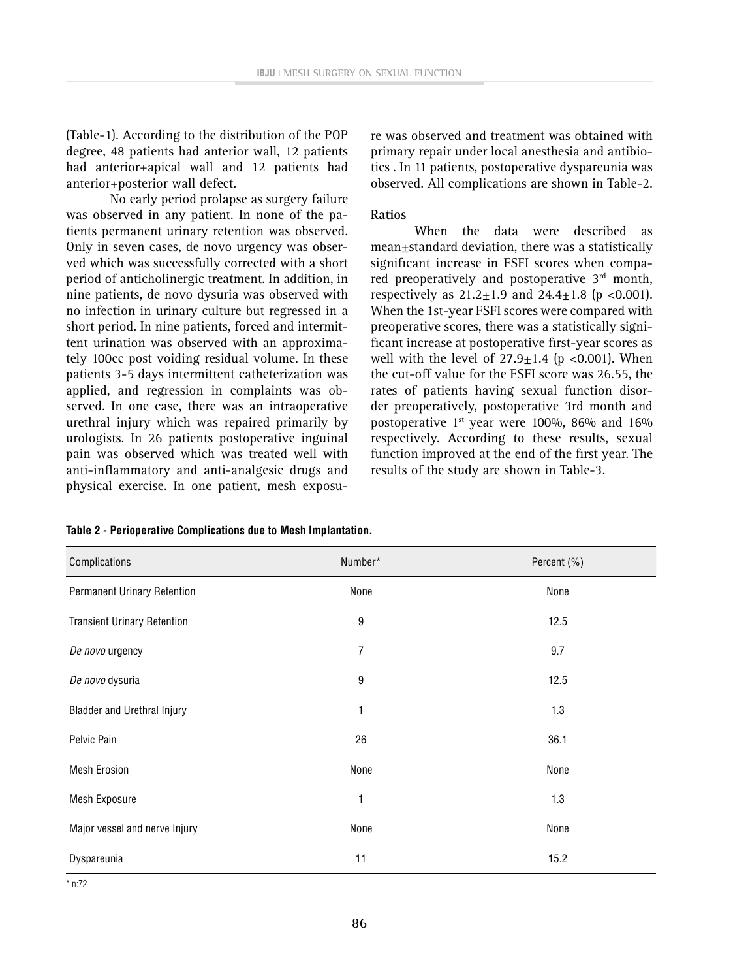(Table-1). According to the distribution of the POP degree, 48 patients had anterior wall, 12 patients had anterior+apical wall and 12 patients had anterior+posterior wall defect.

No early period prolapse as surgery failure was observed in any patient. In none of the patients permanent urinary retention was observed. Only in seven cases, de novo urgency was observed which was successfully corrected with a short period of anticholinergic treatment. In addition, in nine patients, de novo dysuria was observed with no infection in urinary culture but regressed in a short period. In nine patients, forced and intermittent urination was observed with an approximately 100cc post voiding residual volume. In these patients 3-5 days intermittent catheterization was applied, and regression in complaints was observed. In one case, there was an intraoperative urethral injury which was repaired primarily by urologists. In 26 patients postoperative inguinal pain was observed which was treated well with anti-inflammatory and anti-analgesic drugs and physical exercise. In one patient, mesh exposure was observed and treatment was obtained with primary repair under local anesthesia and antibiotics . In 11 patients, postoperative dyspareunia was observed. All complications are shown in Table-2.

#### **Ratios**

When the data were described as mean+standard deviation, there was a statistically significant increase in FSFI scores when compared preoperatively and postoperative 3<sup>rd</sup> month, respectively as  $21.2+1.9$  and  $24.4+1.8$  (p <0.001). When the 1st-year FSFI scores were compared with preoperative scores, there was a statistically significant increase at postoperative first-year scores as well with the level of  $27.9 \pm 1.4$  (p <0.001). When the cut-off value for the FSFI score was 26.55, the rates of patients having sexual function disorder preoperatively, postoperative 3rd month and postoperative 1<sup>st</sup> year were 100%, 86% and 16% respectively. According to these results, sexual function improved at the end of the first year. The results of the study are shown in Table-3.

| Complications                      | Number* | Percent (%) |
|------------------------------------|---------|-------------|
| Permanent Urinary Retention        | None    | None        |
| <b>Transient Urinary Retention</b> | 9       | 12.5        |
| De novo urgency                    | 7       | 9.7         |
| De novo dysuria                    | 9       | 12.5        |
| <b>Bladder and Urethral Injury</b> | 1       | 1.3         |
| Pelvic Pain                        | 26      | 36.1        |
| <b>Mesh Erosion</b>                | None    | None        |
| Mesh Exposure                      | 1       | 1.3         |
| Major vessel and nerve Injury      | None    | None        |
| Dyspareunia                        | 11      | 15.2        |

**Table 2 - Perioperative Complications due to Mesh Implantation.**

\* n:72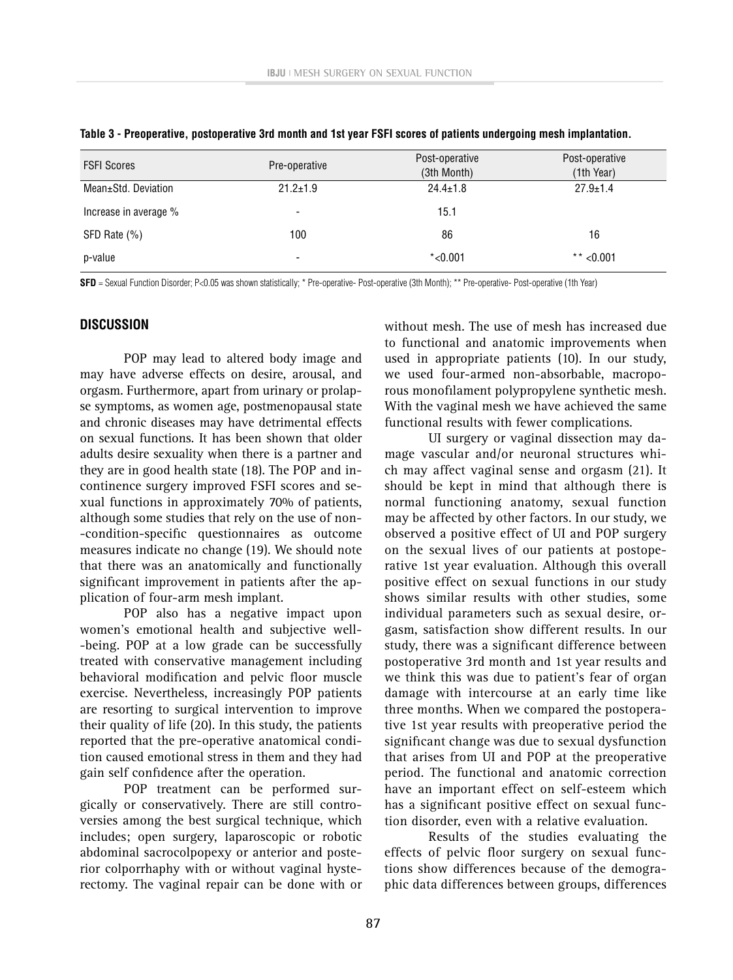| <b>FSFI Scores</b>    | Pre-operative            | Post-operative<br>(3th Month) | Post-operative<br>(1th Year) |
|-----------------------|--------------------------|-------------------------------|------------------------------|
| Mean±Std. Deviation   | $21.2 \pm 1.9$           | $24.4 \pm 1.8$                | $27.9 \pm 1.4$               |
| Increase in average % | $\overline{\phantom{0}}$ | 15.1                          |                              |
| SFD Rate (%)          | 100                      | 86                            | 16                           |
| p-value               |                          | $*$ <0.001                    | ** $< 0.001$                 |

|  |  |  |  | Table 3 - Preoperative, postoperative 3rd month and 1st year FSFI scores of patients undergoing mesh implantation. |
|--|--|--|--|--------------------------------------------------------------------------------------------------------------------|
|--|--|--|--|--------------------------------------------------------------------------------------------------------------------|

**SFD** = Sexual Function Disorder; P<0.05 was shown statistically; \* Pre-operative- Post-operative (3th Month); \*\* Pre-operative- Post-operative (1th Year)

#### **DISCUSSION**

POP may lead to altered body image and may have adverse effects on desire, arousal, and orgasm. Furthermore, apart from urinary or prolapse symptoms, as women age, postmenopausal state and chronic diseases may have detrimental effects on sexual functions. It has been shown that older adults desire sexuality when there is a partner and they are in good health state (18). The POP and incontinence surgery improved FSFI scores and sexual functions in approximately 70% of patients, although some studies that rely on the use of non- -condition-specific questionnaires as outcome measures indicate no change (19). We should note that there was an anatomically and functionally significant improvement in patients after the application of four-arm mesh implant.

POP also has a negative impact upon women's emotional health and subjective well- -being. POP at a low grade can be successfully treated with conservative management including behavioral modification and pelvic floor muscle exercise. Nevertheless, increasingly POP patients are resorting to surgical intervention to improve their quality of life (20). In this study, the patients reported that the pre-operative anatomical condition caused emotional stress in them and they had gain self confidence after the operation.

POP treatment can be performed surgically or conservatively. There are still controversies among the best surgical technique, which includes; open surgery, laparoscopic or robotic abdominal sacrocolpopexy or anterior and posterior colporrhaphy with or without vaginal hysterectomy. The vaginal repair can be done with or without mesh. The use of mesh has increased due to functional and anatomic improvements when used in appropriate patients (10). In our study, we used four-armed non-absorbable, macroporous monofilament polypropylene synthetic mesh. With the vaginal mesh we have achieved the same functional results with fewer complications.

UI surgery or vaginal dissection may damage vascular and/or neuronal structures which may affect vaginal sense and orgasm (21). It should be kept in mind that although there is normal functioning anatomy, sexual function may be affected by other factors. In our study, we observed a positive effect of UI and POP surgery on the sexual lives of our patients at postoperative 1st year evaluation. Although this overall positive effect on sexual functions in our study shows similar results with other studies, some individual parameters such as sexual desire, orgasm, satisfaction show different results. In our study, there was a significant difference between postoperative 3rd month and 1st year results and we think this was due to patient's fear of organ damage with intercourse at an early time like three months. When we compared the postoperative 1st year results with preoperative period the significant change was due to sexual dysfunction that arises from UI and POP at the preoperative period. The functional and anatomic correction have an important effect on self-esteem which has a significant positive effect on sexual function disorder, even with a relative evaluation.

Results of the studies evaluating the effects of pelvic floor surgery on sexual functions show differences because of the demographic data differences between groups, differences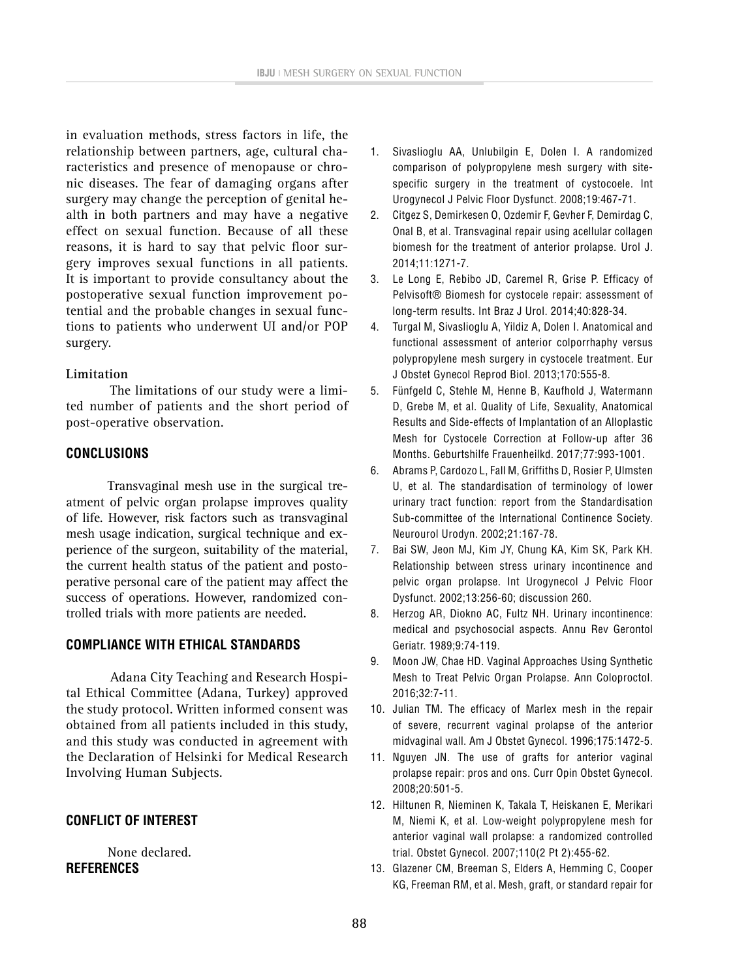in evaluation methods, stress factors in life, the relationship between partners, age, cultural characteristics and presence of menopause or chronic diseases. The fear of damaging organs after surgery may change the perception of genital health in both partners and may have a negative effect on sexual function. Because of all these reasons, it is hard to say that pelvic floor surgery improves sexual functions in all patients. It is important to provide consultancy about the postoperative sexual function improvement potential and the probable changes in sexual functions to patients who underwent UI and/or POP surgery.

#### **Limitation**

The limitations of our study were a limited number of patients and the short period of post-operative observation.

# **CONCLUSIONS**

Transvaginal mesh use in the surgical treatment of pelvic organ prolapse improves quality of life. However, risk factors such as transvaginal mesh usage indication, surgical technique and experience of the surgeon, suitability of the material, the current health status of the patient and postoperative personal care of the patient may affect the success of operations. However, randomized controlled trials with more patients are needed.

# **COMPLIANCE WITH ETHICAL STANDARDS**

Adana City Teaching and Research Hospital Ethical Committee (Adana, Turkey) approved the study protocol. Written informed consent was obtained from all patients included in this study, and this study was conducted in agreement with the Declaration of Helsinki for Medical Research Involving Human Subjects.

# **CONFLICT OF INTEREST**

None declared. **REFERENCES**

- 1. Sivaslioglu AA, Unlubilgin E, Dolen I. A randomized comparison of polypropylene mesh surgery with sitespecific surgery in the treatment of cystocoele. Int Urogynecol J Pelvic Floor Dysfunct. 2008;19:467-71.
- 2. Citgez S, Demirkesen O, Ozdemir F, Gevher F, Demirdag C, Onal B, et al. Transvaginal repair using acellular collagen biomesh for the treatment of anterior prolapse. Urol J. 2014;11:1271-7.
- 3. Le Long E, Rebibo JD, Caremel R, Grise P. Efficacy of Pelvisoft® Biomesh for cystocele repair: assessment of long-term results. Int Braz J Urol. 2014;40:828-34.
- 4. Turgal M, Sivaslioglu A, Yildiz A, Dolen I. Anatomical and functional assessment of anterior colporrhaphy versus polypropylene mesh surgery in cystocele treatment. Eur J Obstet Gynecol Reprod Biol. 2013;170:555-8.
- 5. Fünfgeld C, Stehle M, Henne B, Kaufhold J, Watermann D, Grebe M, et al. Quality of Life, Sexuality, Anatomical Results and Side-effects of Implantation of an Alloplastic Mesh for Cystocele Correction at Follow-up after 36 Months. Geburtshilfe Frauenheilkd. 2017;77:993-1001.
- 6. Abrams P, Cardozo L, Fall M, Griffiths D, Rosier P, Ulmsten U, et al. The standardisation of terminology of lower urinary tract function: report from the Standardisation Sub-committee of the International Continence Society. Neurourol Urodyn. 2002;21:167-78.
- 7. Bai SW, Jeon MJ, Kim JY, Chung KA, Kim SK, Park KH. Relationship between stress urinary incontinence and pelvic organ prolapse. Int Urogynecol J Pelvic Floor Dysfunct. 2002;13:256-60; discussion 260.
- 8. Herzog AR, Diokno AC, Fultz NH. Urinary incontinence: medical and psychosocial aspects. Annu Rev Gerontol Geriatr. 1989;9:74-119.
- 9. Moon JW, Chae HD. Vaginal Approaches Using Synthetic Mesh to Treat Pelvic Organ Prolapse. Ann Coloproctol. 2016;32:7-11.
- 10. Julian TM. The efficacy of Marlex mesh in the repair of severe, recurrent vaginal prolapse of the anterior midvaginal wall. Am J Obstet Gynecol. 1996;175:1472-5.
- 11. Nguyen JN. The use of grafts for anterior vaginal prolapse repair: pros and ons. Curr Opin Obstet Gynecol. 2008;20:501-5.
- 12. Hiltunen R, Nieminen K, Takala T, Heiskanen E, Merikari M, Niemi K, et al. Low-weight polypropylene mesh for anterior vaginal wall prolapse: a randomized controlled trial. Obstet Gynecol. 2007;110(2 Pt 2):455-62.
- 13. Glazener CM, Breeman S, Elders A, Hemming C, Cooper KG, Freeman RM, et al. Mesh, graft, or standard repair for